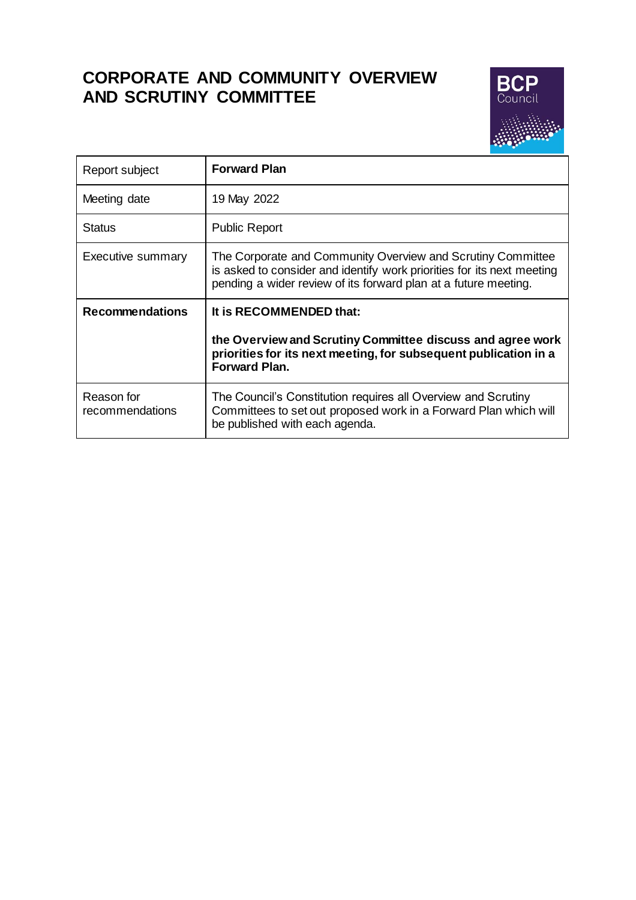# **CORPORATE AND COMMUNITY OVERVIEW AND SCRUTINY COMMITTEE**



| Report subject         | <b>Forward Plan</b>                                                                                                                                                                                      |
|------------------------|----------------------------------------------------------------------------------------------------------------------------------------------------------------------------------------------------------|
| Meeting date           | 19 May 2022                                                                                                                                                                                              |
| <b>Status</b>          | <b>Public Report</b>                                                                                                                                                                                     |
| Executive summary      | The Corporate and Community Overview and Scrutiny Committee<br>is asked to consider and identify work priorities for its next meeting<br>pending a wider review of its forward plan at a future meeting. |
| <b>Recommendations</b> | It is RECOMMENDED that:                                                                                                                                                                                  |
|                        |                                                                                                                                                                                                          |
|                        | the Overview and Scrutiny Committee discuss and agree work<br>priorities for its next meeting, for subsequent publication in a<br><b>Forward Plan.</b>                                                   |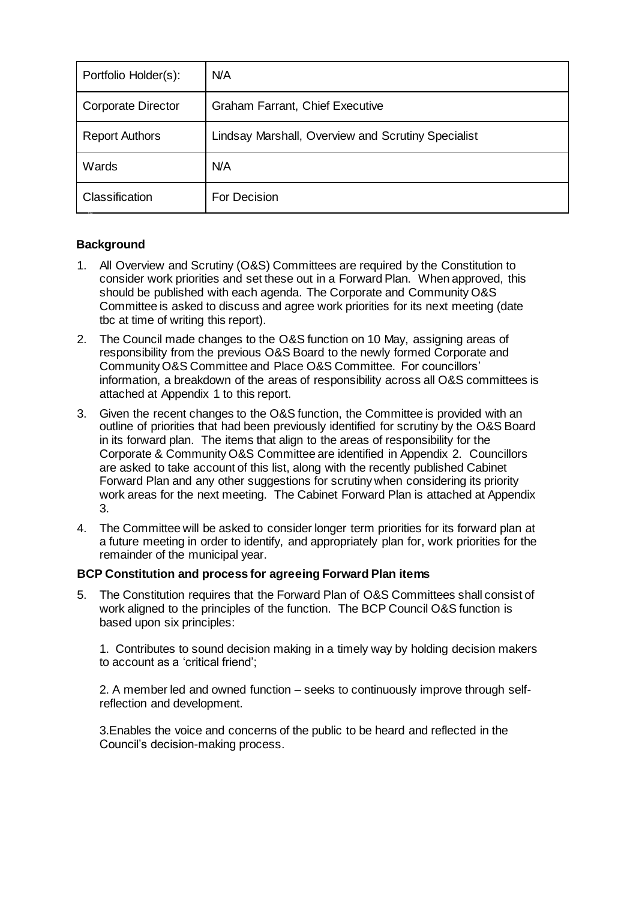| Portfolio Holder(s):      | N/A                                                |
|---------------------------|----------------------------------------------------|
| <b>Corporate Director</b> | <b>Graham Farrant, Chief Executive</b>             |
| <b>Report Authors</b>     | Lindsay Marshall, Overview and Scrutiny Specialist |
| Wards                     | N/A                                                |
| Classification            | For Decision                                       |

# **Background**

- 1. All Overview and Scrutiny (O&S) Committees are required by the Constitution to consider work priorities and set these out in a Forward Plan. When approved, this should be published with each agenda. The Corporate and Community O&S Committee is asked to discuss and agree work priorities for its next meeting (date tbc at time of writing this report).
- 2. The Council made changes to the O&S function on 10 May, assigning areas of responsibility from the previous O&S Board to the newly formed Corporate and Community O&S Committee and Place O&S Committee. For councillors' information, a breakdown of the areas of responsibility across all O&S committees is attached at Appendix 1 to this report.
- 3. Given the recent changes to the O&S function, the Committee is provided with an outline of priorities that had been previously identified for scrutiny by the O&S Board in its forward plan. The items that align to the areas of responsibility for the Corporate & Community O&S Committee are identified in Appendix 2. Councillors are asked to take account of this list, along with the recently published Cabinet Forward Plan and any other suggestions for scrutiny when considering its priority work areas for the next meeting. The Cabinet Forward Plan is attached at Appendix 3.
- 4. The Committee will be asked to consider longer term priorities for its forward plan at a future meeting in order to identify, and appropriately plan for, work priorities for the remainder of the municipal year.

# **BCP Constitution and process for agreeing Forward Plan items**

5. The Constitution requires that the Forward Plan of O&S Committees shall consist of work aligned to the principles of the function. The BCP Council O&S function is based upon six principles:

1. Contributes to sound decision making in a timely way by holding decision makers to account as a 'critical friend';

2. A member led and owned function – seeks to continuously improve through selfreflection and development.

3.Enables the voice and concerns of the public to be heard and reflected in the Council's decision-making process.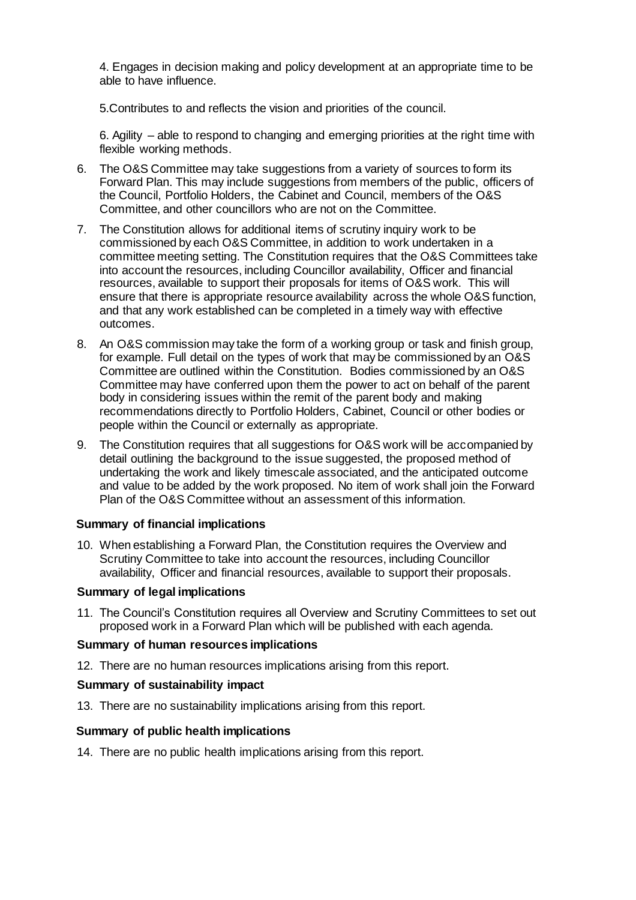4. Engages in decision making and policy development at an appropriate time to be able to have influence.

5.Contributes to and reflects the vision and priorities of the council.

6. Agility – able to respond to changing and emerging priorities at the right time with flexible working methods.

- 6. The O&S Committee may take suggestions from a variety of sources to form its Forward Plan. This may include suggestions from members of the public, officers of the Council, Portfolio Holders, the Cabinet and Council, members of the O&S Committee, and other councillors who are not on the Committee.
- 7. The Constitution allows for additional items of scrutiny inquiry work to be commissioned by each O&S Committee, in addition to work undertaken in a committee meeting setting. The Constitution requires that the O&S Committees take into account the resources, including Councillor availability, Officer and financial resources, available to support their proposals for items of O&S work. This will ensure that there is appropriate resource availability across the whole O&S function, and that any work established can be completed in a timely way with effective outcomes.
- 8. An O&S commission may take the form of a working group or task and finish group, for example. Full detail on the types of work that may be commissioned by an O&S Committee are outlined within the Constitution. Bodies commissioned by an O&S Committee may have conferred upon them the power to act on behalf of the parent body in considering issues within the remit of the parent body and making recommendations directly to Portfolio Holders, Cabinet, Council or other bodies or people within the Council or externally as appropriate.
- 9. The Constitution requires that all suggestions for O&S work will be accompanied by detail outlining the background to the issue suggested, the proposed method of undertaking the work and likely timescale associated, and the anticipated outcome and value to be added by the work proposed. No item of work shall join the Forward Plan of the O&S Committee without an assessment of this information.

## **Summary of financial implications**

10. When establishing a Forward Plan, the Constitution requires the Overview and Scrutiny Committee to take into account the resources, including Councillor availability, Officer and financial resources, available to support their proposals.

## **Summary of legal implications**

11. The Council's Constitution requires all Overview and Scrutiny Committees to set out proposed work in a Forward Plan which will be published with each agenda.

#### **Summary of human resources implications**

12. There are no human resources implications arising from this report.

#### **Summary of sustainability impact**

13. There are no sustainability implications arising from this report.

#### **Summary of public health implications**

14. There are no public health implications arising from this report.